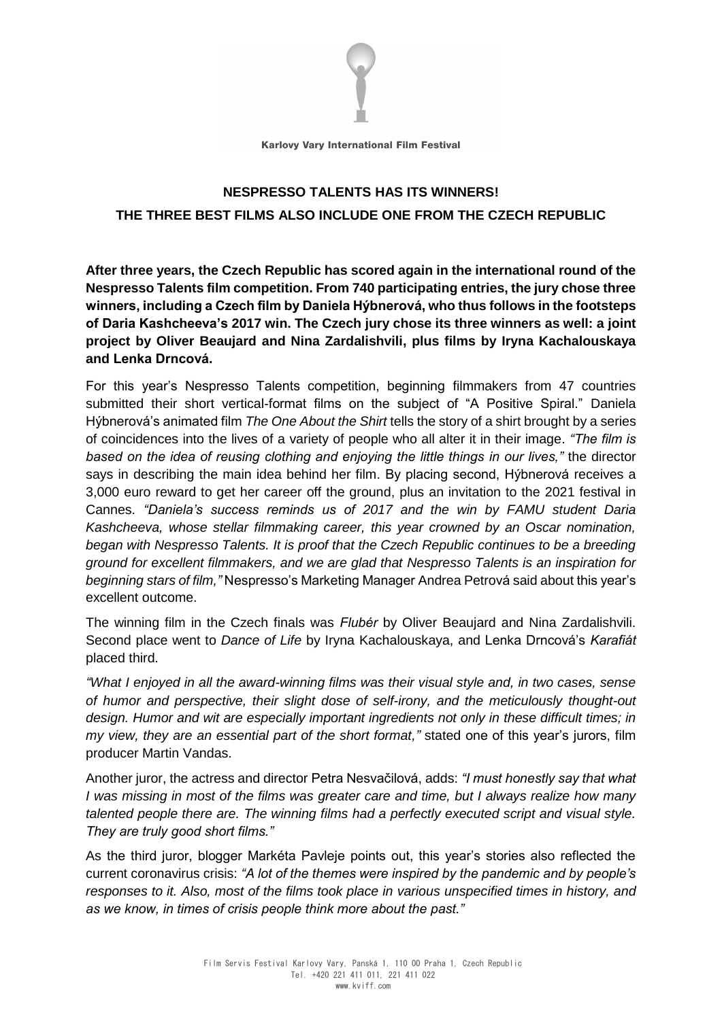

Karlovy Vary International Film Festival

## **NESPRESSO TALENTS HAS ITS WINNERS! THE THREE BEST FILMS ALSO INCLUDE ONE FROM THE CZECH REPUBLIC**

**After three years, the Czech Republic has scored again in the international round of the Nespresso Talents film competition. From 740 participating entries, the jury chose three winners, including a Czech film by Daniela Hýbnerová, who thus follows in the footsteps of Daria Kashcheeva's 2017 win. The Czech jury chose its three winners as well: a joint project by Oliver Beaujard and Nina Zardalishvili, plus films by Iryna Kachalouskaya and Lenka Drncová.**

For this year's Nespresso Talents competition, beginning filmmakers from 47 countries submitted their short vertical-format films on the subject of "A Positive Spiral." Daniela Hýbnerová's animated film *The One About the Shirt* tells the story of a shirt brought by a series of coincidences into the lives of a variety of people who all alter it in their image. *"The film is based on the idea of reusing clothing and enjoying the little things in our lives,"* the director says in describing the main idea behind her film. By placing second, Hýbnerová receives a 3,000 euro reward to get her career off the ground, plus an invitation to the 2021 festival in Cannes. *"Daniela's success reminds us of 2017 and the win by FAMU student Daria Kashcheeva, whose stellar filmmaking career, this year crowned by an Oscar nomination, began with Nespresso Talents. It is proof that the Czech Republic continues to be a breeding ground for excellent filmmakers, and we are glad that Nespresso Talents is an inspiration for beginning stars of film,"* Nespresso's Marketing Manager Andrea Petrová said about this year's excellent outcome.

The winning film in the Czech finals was *Flubér* by Oliver Beaujard and Nina Zardalishvili. Second place went to *Dance of Life* by Iryna Kachalouskaya, and Lenka Drncová's *Karafiát* placed third.

*"What I enjoyed in all the award-winning films was their visual style and, in two cases, sense of humor and perspective, their slight dose of self-irony, and the meticulously thought-out design. Humor and wit are especially important ingredients not only in these difficult times; in my view, they are an essential part of the short format,"* stated one of this year's jurors, film producer Martin Vandas.

Another juror, the actress and director Petra Nesvačilová, adds: *"I must honestly say that what I was missing in most of the films was greater care and time, but I always realize how many talented people there are. The winning films had a perfectly executed script and visual style. They are truly good short films."*

As the third juror, blogger Markéta Pavleje points out, this year's stories also reflected the current coronavirus crisis: *"A lot of the themes were inspired by the pandemic and by people's responses to it. Also, most of the films took place in various unspecified times in history, and as we know, in times of crisis people think more about the past."*